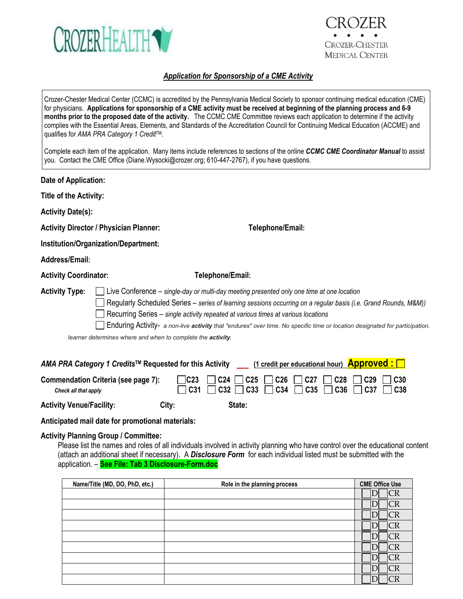

# **CROZER-CHESTER MEDICAL CENTER**

## *Application for Sponsorship of a CME Activity*

| qualifies for AMA PRA Category 1 Credit™.     | Crozer-Chester Medical Center (CCMC) is accredited by the Pennsylvania Medical Society to sponsor continuing medical education (CME)<br>for physicians. Applications for sponsorship of a CME activity must be received at beginning of the planning process and 6-9<br>months prior to the proposed date of the activity. The CCMC CME Committee reviews each application to determine if the activity<br>complies with the Essential Areas, Elements, and Standards of the Accreditation Council for Continuing Medical Education (ACCME) and |
|-----------------------------------------------|-------------------------------------------------------------------------------------------------------------------------------------------------------------------------------------------------------------------------------------------------------------------------------------------------------------------------------------------------------------------------------------------------------------------------------------------------------------------------------------------------------------------------------------------------|
|                                               | Complete each item of the application. Many items include references to sections of the online CCMC CME Coordinator Manual to assist<br>you. Contact the CME Office (Diane.Wysocki@crozer.org; 610-447-2767), if you have questions.                                                                                                                                                                                                                                                                                                            |
| Date of Application:                          |                                                                                                                                                                                                                                                                                                                                                                                                                                                                                                                                                 |
| Title of the Activity:                        |                                                                                                                                                                                                                                                                                                                                                                                                                                                                                                                                                 |
| <b>Activity Date(s):</b>                      |                                                                                                                                                                                                                                                                                                                                                                                                                                                                                                                                                 |
| <b>Activity Director / Physician Planner:</b> | Telephone/Email:                                                                                                                                                                                                                                                                                                                                                                                                                                                                                                                                |
| Institution/Organization/Department:          |                                                                                                                                                                                                                                                                                                                                                                                                                                                                                                                                                 |
| Address/Email:                                |                                                                                                                                                                                                                                                                                                                                                                                                                                                                                                                                                 |
| <b>Activity Coordinator:</b>                  | Telephone/Email:                                                                                                                                                                                                                                                                                                                                                                                                                                                                                                                                |
| <b>Activity Type:</b>                         | Live Conference – single-day or multi-day meeting presented only one time at one location<br>Regularly Scheduled Series - series of learning sessions occurring on a regular basis (i.e. Grand Rounds, M&M))<br>Recurring Series – single activity repeated at various times at various locations<br>Enduring Activity- a non-live activity that "endures" over time. No specific time or location designated for participation.<br>learner determines where and when to complete the activity.                                                 |
|                                               | <u>(1 credit per educational hour) Approved: [</u><br>AMA PRA Category 1 Credits™ Requested for this Activity                                                                                                                                                                                                                                                                                                                                                                                                                                   |
| <b>Commendation Criteria (see page 7):</b>    | C23<br>C <sub>30</sub><br>C <sub>24</sub><br>C <sub>26</sub><br>C <sub>27</sub><br>C <sub>28</sub><br>C <sub>29</sub><br>C <sub>25</sub>                                                                                                                                                                                                                                                                                                                                                                                                        |

 *Check all that apply* **C31 C32 C33 C34 C35 C36 C37 C38 Activity Venue/Facility: City: State:**

**Anticipated mail date for promotional materials:** 

## **Activity Planning Group / Committee:**

Please list the names and roles of all individuals involved in activity planning who have control over the educational content (attach an additional sheet if necessary). A *Disclosure Form* for each individual listed must be submitted with the application. – **See File: Tab 3 Disclosure-Form.doc**

| Name/Title (MD, DO, PhD, etc.) | Role in the planning process | <b>CME Office Use</b> |
|--------------------------------|------------------------------|-----------------------|
|                                |                              | CR                    |
|                                |                              |                       |
|                                |                              |                       |
|                                |                              |                       |
|                                |                              |                       |
|                                |                              |                       |
|                                |                              |                       |
|                                |                              |                       |
|                                |                              |                       |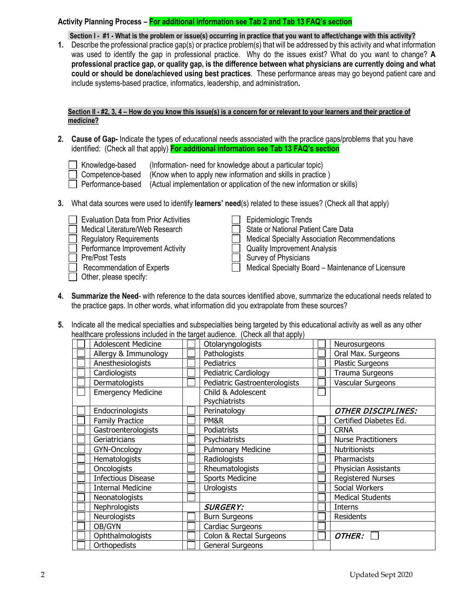## **Activity Planning Process – For additional information see Tab 2 and Tab 13 FAQ's section**

**Section I - #1 - What is the problem or issue(s) occurring in practice that you want to affect/change with this activity?**

**1.** Describe the professional practice gap(s) or practice problem(s) that will be addressed by this activity and what information was used to identify the gap in professional practice. Why do the issues exist? What do you want to change? **A professional practice gap, or quality gap, is the difference between what physicians are currently doing and what could or should be done/achieved using best practices**. These performance areas may go beyond patient care and include systems-based practice, informatics, leadership, and administration**.**

**Section II - #2, 3, 4 – How do you know this issue(s) is a concern for or relevant to your learners and their practice of medicine?**

- **2. Cause of Gap-** Indicate the types of educational needs associated with the practice gaps/problems that you have identified: (Check all that apply) **For additional information see Tab 13 FAQ's section**
	- Knowledge-based (Information- need for knowledge about a particular topic)
	- Competence-based (Know when to apply new information and skills in practice)<br>
	Performance-based (Actual implementation or application of the new information of

(Actual implementation or application of the new information or skills)

- **3.** What data sources were used to identify **learners' need**(s) related to these issues? (Check all that apply)
	- $\Box$  Evaluation Data from Prior Activities  $\Box$  Epidemiologic Trends 1 Medical Literature/Web Research State or National Patient Care Data Regulatory Reguirements Medical Specialty Association Recommendations □ Performance Improvement Activity △ □ Quality Improvement Analysis<br>□ Pre/Post Tests  $\Box$  Survey of Physicians Recommendation of Experts Medical Specialty Board – Maintenance of Licensure
	- Other, please specify:
- 
- **4. Summarize the Need** with reference to the data sources identified above, summarize the educational needs related to the practice gaps. In other words, what information did you extrapolate from these sources?
- **5.** Indicate all the medical specialties and subspecialties being targeted by this educational activity as well as any other healthcare professions included in the target audience. (Check all that apply)

| <b>Adolescent Medicine</b> | Otolaryngologists             | Neurosurgeons              |
|----------------------------|-------------------------------|----------------------------|
| Allergy & Immunology       | Pathologists                  | Oral Max. Surgeons         |
| Anesthesiologists          | Pediatrics                    | <b>Plastic Surgeons</b>    |
| Cardiologists              | Pediatric Cardiology          | Trauma Surgeons            |
| Dermatologists             | Pediatric Gastroenterologists | Vascular Surgeons          |
| <b>Emergency Medicine</b>  | Child & Adolescent            |                            |
|                            | Psychiatrists                 |                            |
| Endocrinologists           | Perinatology                  | <b>OTHER DISCIPLINES:</b>  |
| <b>Family Practice</b>     | PM&R                          | Certified Diabetes Ed.     |
| Gastroenterologists        | Podiatrists                   | <b>CRNA</b>                |
| Geriatricians              | Psychiatrists                 | <b>Nurse Practitioners</b> |
| GYN-Oncology               | <b>Pulmonary Medicine</b>     | <b>Nutritionists</b>       |
| Hematologists              | Radiologists                  | Pharmacists                |
| Oncologists                | Rheumatologists               | Physician Assistants       |
| <b>Infectious Disease</b>  | <b>Sports Medicine</b>        | <b>Registered Nurses</b>   |
| <b>Internal Medicine</b>   | <b>Urologists</b>             | Social Workers             |
| Neonatologists             |                               | <b>Medical Students</b>    |
| Nephrologists              | <b>SURGERY:</b>               | Interns                    |
| Neurologists               | <b>Burn Surgeons</b>          | <b>Residents</b>           |
| OB/GYN                     | Cardiac Surgeons              |                            |
| Ophthalmologists           | Colon & Rectal Surgeons       | OTHER:                     |
| Orthopedists               | General Surgeons              |                            |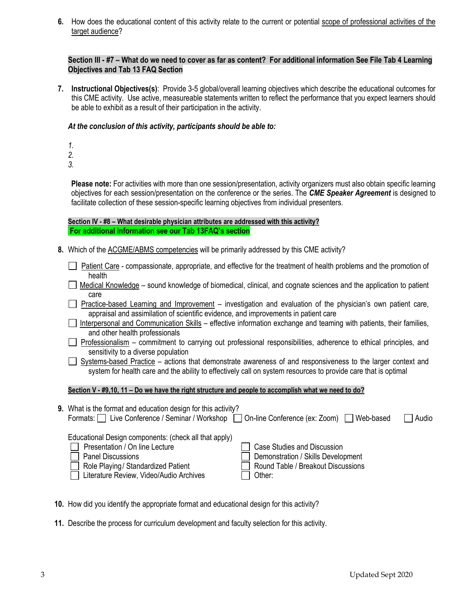**6.** How does the educational content of this activity relate to the current or potential scope of professional activities of the target audience?

## **Section III - #7 – What do we need to cover as far as content? For additional information See File Tab 4 Learning Objectives and Tab 13 FAQ Section**

**7. Instructional Objectives(s)**: Provide 3-5 global/overall learning objectives which describe the educational outcomes for this CME activity. Use active, measureable statements written to reflect the performance that you expect learners should be able to exhibit as a result of their participation in the activity.

## *At the conclusion of this activity, participants should be able to:*

*1.*

*2.*

*3.*

**Please note:** For activities with more than one session/presentation, activity organizers must also obtain specific learning objectives for each session/presentation on the conference or the series. The *CME Speaker Agreement* is designed to facilitate collection of these session-specific learning objectives from individual presenters.

**Section IV - #8 – What desirable physician attributes are addressed with this activity? For additional information see our Tab 13FAQ's section**

- **8.** Which of the ACGME/ABMS competencies will be primarily addressed by this CME activity?
	- Patient Care compassionate, appropriate, and effective for the treatment of health problems and the promotion of health
	- Medical Knowledge sound knowledge of biomedical, clinical, and cognate sciences and the application to patient care
	- **Practice-based Learning and Improvement** investigation and evaluation of the physician's own patient care, appraisal and assimilation of scientific evidence, and improvements in patient care
	- Interpersonal and Communication Skills effective information exchange and teaming with patients, their families, and other health professionals
	- Professionalism commitment to carrying out professional responsibilities, adherence to ethical principles, and sensitivity to a diverse population
	- Systems-based Practice actions that demonstrate awareness of and responsiveness to the larger context and system for health care and the ability to effectively call on system resources to provide care that is optimal

## **Section V - #9,10, 11 – Do we have the right structure and people to accomplish what we need to do?**

| 9. What is the format and education design for this activity?                               |                                    |       |
|---------------------------------------------------------------------------------------------|------------------------------------|-------|
| Formats:   Live Conference / Seminar / Workshop   On-line Conference (ex: Zoom)   Web-based |                                    | Audio |
| Educational Design components: (check all that apply)                                       |                                    |       |
| Presentation / On line Lecture                                                              | Case Studies and Discussion        |       |
| <b>Panel Discussions</b>                                                                    | Demonstration / Skills Development |       |
| Role Playing/ Standardized Patient                                                          | Round Table / Breakout Discussions |       |
| Literature Review, Video/Audio Archives                                                     | Other:                             |       |

- **10.** How did you identify the appropriate format and educational design for this activity?
- **11.** Describe the process for curriculum development and faculty selection for this activity.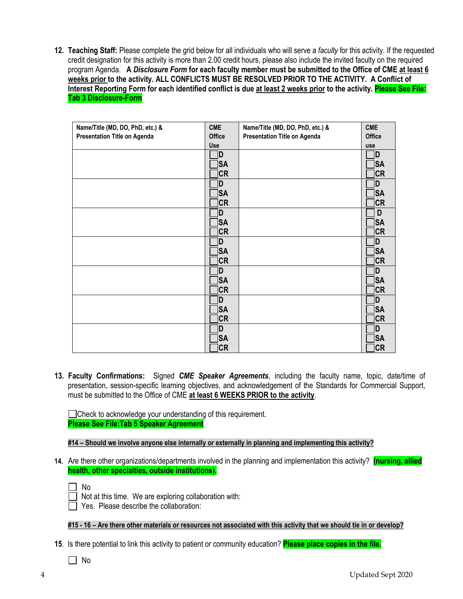**12. Teaching Staff:** Please complete the grid below for all individuals who will serve a *faculty* for this activity. If the requested credit designation for this activity is more than 2.00 credit hours, please also include the invited faculty on the required program Agenda. **A** *Disclosure Form* **for each faculty member must be submitted to the Office of CME at least 6 weeks prior to the activity. ALL CONFLICTS MUST BE RESOLVED PRIOR TO THE ACTIVITY. A Conflict of Interest Reporting Form for each identified conflict is due at least 2 weeks prior to the activity. Please See File: Tab 3 Disclosure-Form**

| Name/Title (MD, DO, PhD, etc.) &    | <b>CME</b>    | Name/Title (MD, DO, PhD, etc.) &    | <b>CME</b>    |
|-------------------------------------|---------------|-------------------------------------|---------------|
| <b>Presentation Title on Agenda</b> | <b>Office</b> | <b>Presentation Title on Agenda</b> | <b>Office</b> |
|                                     | Use           |                                     | use           |
|                                     | 1D            |                                     | ID            |
|                                     |               |                                     |               |
|                                     | <b>SA</b>     |                                     | <b>SA</b>     |
|                                     | <b>CR</b>     |                                     | <b>CR</b>     |
|                                     | D.            |                                     | ID            |
|                                     | <b>SA</b>     |                                     | <b>SA</b>     |
|                                     | <b>CR</b>     |                                     | <b>CR</b>     |
|                                     | D             |                                     | D             |
|                                     | <b>SA</b>     |                                     | <b>SA</b>     |
|                                     | ]CR           |                                     | <b>CR</b>     |
|                                     | İD            |                                     | <sub>D</sub>  |
|                                     | <b>SA</b>     |                                     | <b>SA</b>     |
|                                     | <b>CR</b>     |                                     | <b>CR</b>     |
|                                     | D.            |                                     | D             |
|                                     | <b>SA</b>     |                                     | <b>SA</b>     |
|                                     | <b>CR</b>     |                                     | <b>CR</b>     |
|                                     | D             |                                     | ID            |
|                                     | <b>SA</b>     |                                     | <b>SA</b>     |
|                                     | $ {\sf CR} $  |                                     | <b>CR</b>     |
|                                     | İD            |                                     | D             |
|                                     | <b>SA</b>     |                                     | <b>SA</b>     |
|                                     | <b>CR</b>     |                                     | <b>CR</b>     |
|                                     |               |                                     |               |

**13. Faculty Confirmations:** Signed *CME Speaker Agreements*, including the faculty name, topic, date/time of presentation, session-specific learning objectives, and acknowledgement of the Standards for Commercial Support, must be submitted to the Office of CME **at least 6 WEEKS PRIOR to the activity**.

□ Check to acknowledge your understanding of this requirement. **Please See File:Tab 5 Speaker Agreement**

**#14 – Should we involve anyone else internally or externally in planning and implementing this activity?**

**14.** Are there other organizations/departments involved in the planning and implementation this activity? **(nursing, allied health, other specialties, outside institutions).**

 $\Box$  No

Not at this time. We are exploring collaboration with:

Yes. Please describe the collaboration:

**#15 - 16 – Are there other materials or resources not associated with this activity that we should tie in or develop?**

- **15**. Is there potential to link this activity to patient or community education? **Please place copies in the file.**
	- $\Box$  No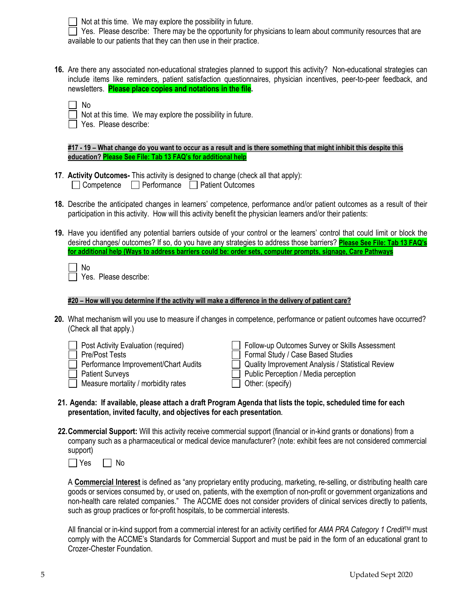Not at this time. We may explore the possibility in future.

 $\Box$  Yes. Please describe: There may be the opportunity for physicians to learn about community resources that are available to our patients that they can then use in their practice.

**16.** Are there any associated non-educational strategies planned to support this activity? Non-educational strategies can include items like reminders, patient satisfaction questionnaires, physician incentives, peer-to-peer feedback, and newsletters. **Please place copies and notations in the file.**

- Not at this time. We may explore the possibility in future.
- Yes. Please describe:

**#17 - 19 – What change do you want to occur as a result and is there something that might inhibit this despite this education? Please See File: Tab 13 FAQ's for additional help**

- **17**. **Activity Outcomes-** This activity is designed to change (check all that apply):  $\Box$  Competence  $\Box$  Performance  $\Box$  Patient Outcomes
- **18.** Describe the anticipated changes in learners' competence, performance and/or patient outcomes as a result of their participation in this activity. How will this activity benefit the physician learners and/or their patients:
- **19.** Have you identified any potential barriers outside of your control or the learners' control that could limit or block the desired changes/ outcomes? If so, do you have any strategies to address those barriers? **Please See File: Tab 13 FAQ's for additional help (Ways to address barriers could be: order sets, computer prompts, signage, Care Pathways**

Yes. Please describe:

#### **#20 – How will you determine if the activity will make a difference in the delivery of patient care?**

**20.** What mechanism will you use to measure if changes in competence, performance or patient outcomes have occurred? (Check all that apply.)

| <b>Post Activity Evaluation (required)</b> | Follow-up Outcomes Survey or Skills Assessment    |
|--------------------------------------------|---------------------------------------------------|
| <b>Pre/Post Tests</b>                      | Formal Study / Case Based Studies                 |
| Performance Improvement/Chart Audits       | Quality Improvement Analysis / Statistical Review |
| <b>Patient Surveys</b>                     | Public Perception / Media perception              |
| Measure mortality / morbidity rates        | $\Box$ Other: (specify)                           |

- **21. Agenda: If available, please attach a draft Program Agenda that lists the topic, scheduled time for each presentation, invited faculty, and objectives for each presentation.**
- **22.Commercial Support:** Will this activity receive commercial support (financial or in-kind grants or donations) from a company such as a pharmaceutical or medical device manufacturer? (note: exhibit fees are not considered commercial support)



A **Commercial Interest** is defined as "any proprietary entity producing, marketing, re-selling, or distributing health care goods or services consumed by, or used on, patients, with the exemption of non-profit or government organizations and non-health care related companies." The ACCME does not consider providers of clinical services directly to patients, such as group practices or for-profit hospitals, to be commercial interests.

All financial or in-kind support from a commercial interest for an activity certified for *AMA PRA Category 1 Credit*TM must comply with the ACCME's Standards for Commercial Support and must be paid in the form of an educational grant to Crozer-Chester Foundation.

No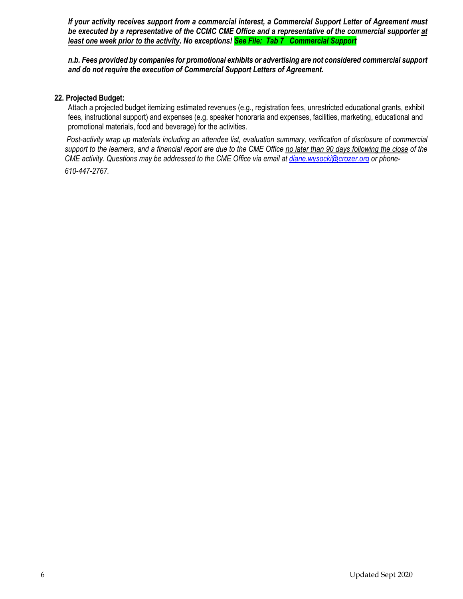*If your activity receives support from a commercial interest, a Commercial Support Letter of Agreement must be executed by a representative of the CCMC CME Office and a representative of the commercial supporter at least one week prior to the activity. No exceptions! See File: Tab 7 Commercial Support*

*n.b. Fees provided by companies for promotional exhibits or advertising are not considered commercial support and do not require the execution of Commercial Support Letters of Agreement.*

#### **22. Projected Budget:**

Attach a projected budget itemizing estimated revenues (e.g., registration fees, unrestricted educational grants, exhibit fees, instructional support) and expenses (e.g. speaker honoraria and expenses, facilities, marketing, educational and promotional materials, food and beverage) for the activities.

*Post-activity wrap up materials including an attendee list, evaluation summary, verification of disclosure of commercial support to the learners, and a financial report are due to the CME Office no later than 90 days following the close of the CME activity. Questions may be addressed to the CME Office via email a[t diane.wysocki@crozer.org](mailto:diane.wysocki@crozer.org) or phone-*

*610-447-2767.*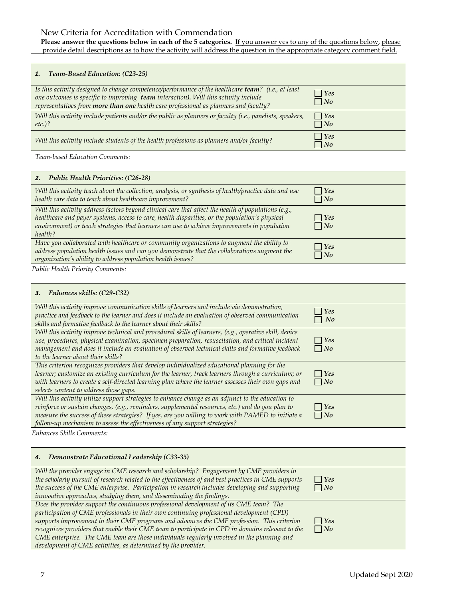## New Criteria for Accreditation with Commendation

**Please answer the questions below in each of the 5 categories.** If you answer yes to any of the questions below, please provide detail descriptions as to how the activity will address the question in the appropriate category comment field.

#### *1. Team-Based Education: (C23-25)*

| Is this activity designed to change competence/performance of the healthcare team? (i.e., at least<br>one outcomes is specific to improving team interaction). Will this activity include<br>representatives from more than one health care professional as planners and faculty? | $\vert$ Yes<br>$\Box$ No     |
|-----------------------------------------------------------------------------------------------------------------------------------------------------------------------------------------------------------------------------------------------------------------------------------|------------------------------|
| Will this activity include patients and/or the public as planners or faculty (i.e., panelists, speakers,<br>$etc.$ )?                                                                                                                                                             | $\Box$ Yes<br>$\Box$ No      |
| Will this activity include students of the health professions as planners and/or faculty?                                                                                                                                                                                         | $ $ $\gamma$ es<br>$\neg$ No |

*Team-based Education Comments:* 

| <b>Public Health Priorities: (C26-28)</b>                                                                                                                                                                                                                                                                         |                                  |
|-------------------------------------------------------------------------------------------------------------------------------------------------------------------------------------------------------------------------------------------------------------------------------------------------------------------|----------------------------------|
| Will this activity teach about the collection, analysis, or synthesis of health/practice data and use<br>health care data to teach about healthcare improvement?                                                                                                                                                  | $\Box$ Yes<br>$\Box$ No          |
| Will this activity address factors beyond clinical care that affect the health of populations (e.g.,<br>healthcare and payer systems, access to care, health disparities, or the population's physical<br>environment) or teach strategies that learners can use to achieve improvements in population<br>health? | $\Box$ Yes<br>$\Box$ No          |
| Have you collaborated with healthcare or community organizations to augment the ability to<br>address population health issues and can you demonstrate that the collaborations augment the<br>organization's ability to address population health issues?                                                         | $\vert$ $\vert$ Yes<br>$\Box$ No |

*Public Health Priority Comments:*

#### *3. Enhances skills: (C29-C32)*

| Will this activity improve communication skills of learners and include via demonstration,<br>practice and feedback to the learner and does it include an evaluation of observed communication<br>skills and formative feedback to the learner about their skills?                                                                                                                       | $\gamma$ Yes<br>$\neg$ No |
|------------------------------------------------------------------------------------------------------------------------------------------------------------------------------------------------------------------------------------------------------------------------------------------------------------------------------------------------------------------------------------------|---------------------------|
| Will this activity improve technical and procedural skills of learners, (e.g., operative skill, device<br>use, procedures, physical examination, specimen preparation, resuscitation, and critical incident<br>management and does it include an evaluation of observed technical skills and formative feedback<br>to the learner about their skills?                                    | $\vert$ Yes<br>$\Box$ No  |
| This criterion recognizes providers that develop individualized educational planning for the<br>learner; customize an existing curriculum for the learner, track learners through a curriculum; or<br>with learners to create a self-directed learning plan where the learner assesses their own gaps and<br>selects content to address those gaps.                                      | $\Box$ Yes<br>$\Box$ No   |
| Will this activity utilize support strategies to enhance change as an adjunct to the education to<br>reinforce or sustain changes, (e.g., reminders, supplemental resources, etc.) and do you plan to<br>measure the success of these strategies? If yes, are you willing to work with PAMED to initiate a<br>follow-up mechanism to assess the effectiveness of any support strategies? | $\Box$ Yes<br>$\Box$ No   |

*Enhances Skills Comments:*

#### *4. Demonstrate Educational Leadership (C33-35)*

| Will the provider engage in CME research and scholarship? Engagement by CME providers in             |               |
|------------------------------------------------------------------------------------------------------|---------------|
| the scholarly pursuit of research related to the effectiveness of and best practices in CME supports | $\bigcap$ Yes |
| the success of the CME enterprise. Participation in research includes developing and supporting      | $\Box$ No     |
| innovative approaches, studying them, and disseminating the findings.                                |               |
| Does the provider support the continuous professional development of its CME team? The               |               |
| participation of CME professionals in their own continuing professional development (CPD)            |               |
| supports improvement in their CME programs and advances the CME profession. This criterion           | $\Box$ Yes    |
| recognizes providers that enable their CME team to participate in CPD in domains relevant to the     | $\Box$ No     |
| CME enterprise. The CME team are those individuals regularly involved in the planning and            |               |
| development of CME activities, as determined by the provider.                                        |               |